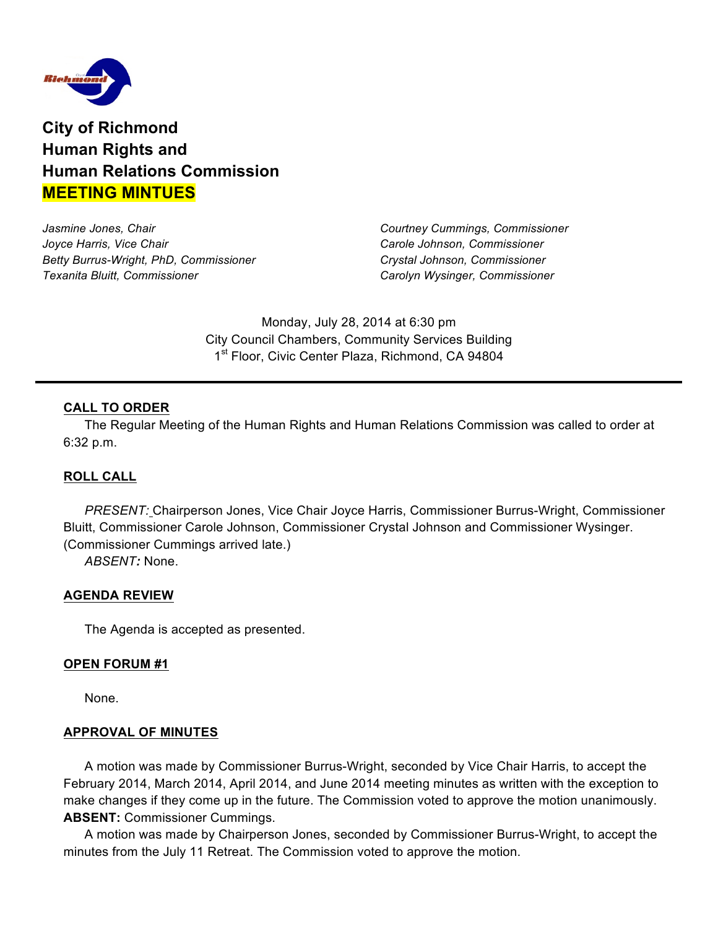

**City of Richmond Human Rights and Human Relations Commission MEETING MINTUES**

*Jasmine Jones, Chair Courtney Cummings, Commissioner Joyce Harris, Vice Chair Carole Johnson, Commissioner Betty Burrus-Wright, PhD, Commissioner Crystal Johnson, Commissioner Texanita Bluitt, Commissioner Carolyn Wysinger, Commissioner*

Monday, July 28, 2014 at 6:30 pm City Council Chambers, Community Services Building 1<sup>st</sup> Floor, Civic Center Plaza, Richmond, CA 94804

# **CALL TO ORDER**

The Regular Meeting of the Human Rights and Human Relations Commission was called to order at 6:32 p.m.

### **ROLL CALL**

*PRESENT:* Chairperson Jones, Vice Chair Joyce Harris, Commissioner Burrus-Wright, Commissioner Bluitt, Commissioner Carole Johnson, Commissioner Crystal Johnson and Commissioner Wysinger. (Commissioner Cummings arrived late.)

*ABSENT:* None.

#### **AGENDA REVIEW**

The Agenda is accepted as presented.

#### **OPEN FORUM #1**

None.

#### **APPROVAL OF MINUTES**

A motion was made by Commissioner Burrus-Wright, seconded by Vice Chair Harris, to accept the February 2014, March 2014, April 2014, and June 2014 meeting minutes as written with the exception to make changes if they come up in the future. The Commission voted to approve the motion unanimously. **ABSENT:** Commissioner Cummings.

A motion was made by Chairperson Jones, seconded by Commissioner Burrus-Wright, to accept the minutes from the July 11 Retreat. The Commission voted to approve the motion.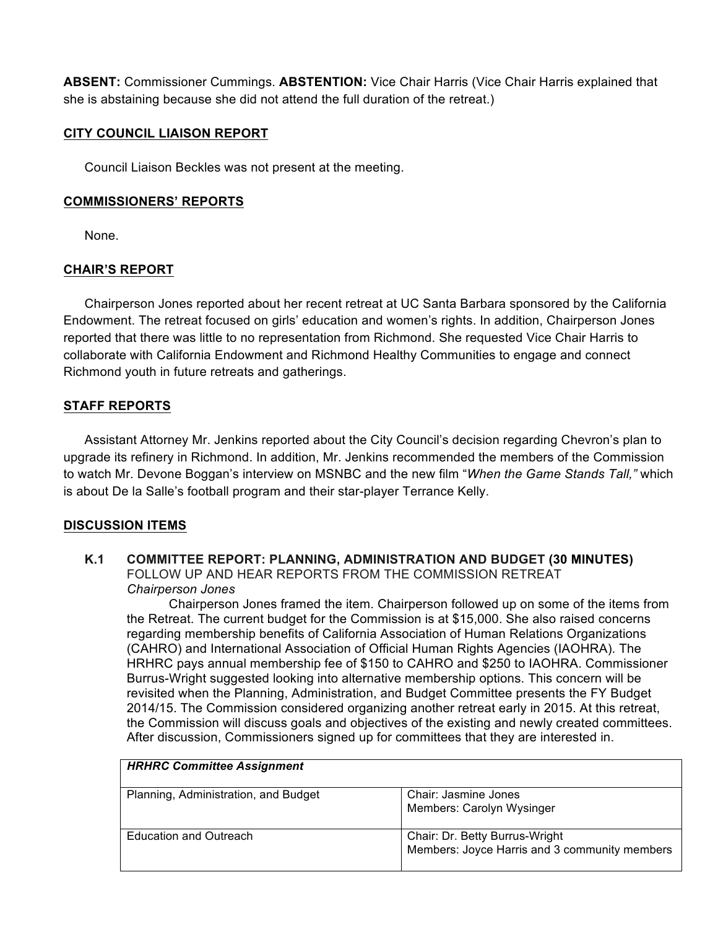**ABSENT:** Commissioner Cummings. **ABSTENTION:** Vice Chair Harris (Vice Chair Harris explained that she is abstaining because she did not attend the full duration of the retreat.)

# **CITY COUNCIL LIAISON REPORT**

Council Liaison Beckles was not present at the meeting.

## **COMMISSIONERS' REPORTS**

None.

# **CHAIR'S REPORT**

Chairperson Jones reported about her recent retreat at UC Santa Barbara sponsored by the California Endowment. The retreat focused on girls' education and women's rights. In addition, Chairperson Jones reported that there was little to no representation from Richmond. She requested Vice Chair Harris to collaborate with California Endowment and Richmond Healthy Communities to engage and connect Richmond youth in future retreats and gatherings.

# **STAFF REPORTS**

Assistant Attorney Mr. Jenkins reported about the City Council's decision regarding Chevron's plan to upgrade its refinery in Richmond. In addition, Mr. Jenkins recommended the members of the Commission to watch Mr. Devone Boggan's interview on MSNBC and the new film "*When the Game Stands Tall,"* which is about De la Salle's football program and their star-player Terrance Kelly.

### **DISCUSSION ITEMS**

**K.1 COMMITTEE REPORT: PLANNING, ADMINISTRATION AND BUDGET (30 MINUTES)** FOLLOW UP AND HEAR REPORTS FROM THE COMMISSION RETREAT *Chairperson Jones* 

Chairperson Jones framed the item. Chairperson followed up on some of the items from the Retreat. The current budget for the Commission is at \$15,000. She also raised concerns regarding membership benefits of California Association of Human Relations Organizations (CAHRO) and International Association of Official Human Rights Agencies (IAOHRA). The HRHRC pays annual membership fee of \$150 to CAHRO and \$250 to IAOHRA. Commissioner Burrus-Wright suggested looking into alternative membership options. This concern will be revisited when the Planning, Administration, and Budget Committee presents the FY Budget 2014/15. The Commission considered organizing another retreat early in 2015. At this retreat, the Commission will discuss goals and objectives of the existing and newly created committees. After discussion, Commissioners signed up for committees that they are interested in.

| <b>HRHRC Committee Assignment</b>    |                                                                                 |
|--------------------------------------|---------------------------------------------------------------------------------|
| Planning, Administration, and Budget | Chair: Jasmine Jones<br>Members: Carolyn Wysinger                               |
| <b>Education and Outreach</b>        | Chair: Dr. Betty Burrus-Wright<br>Members: Joyce Harris and 3 community members |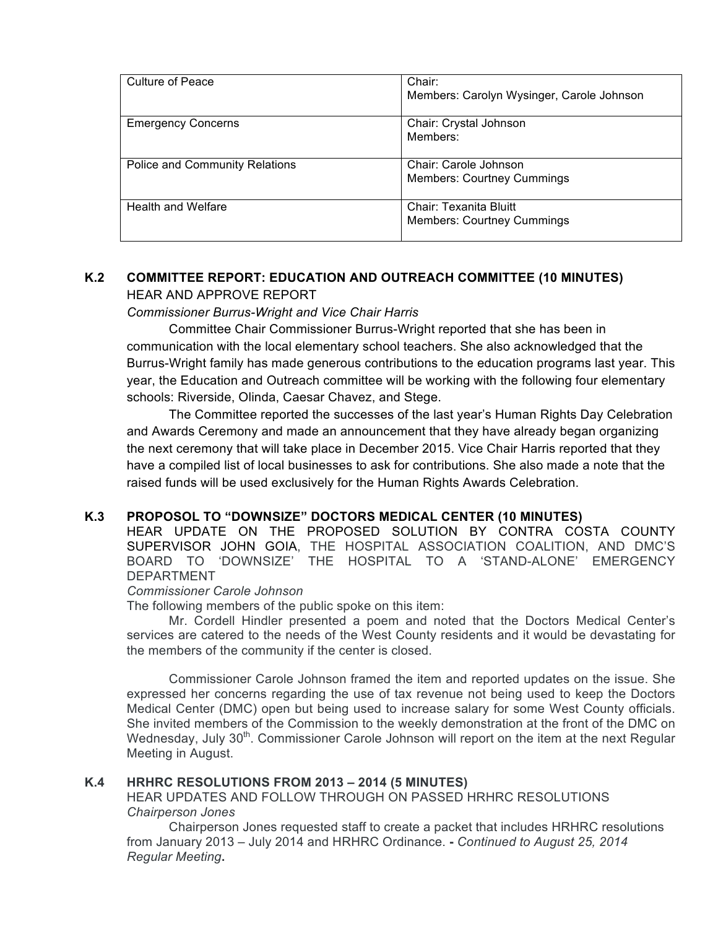| Culture of Peace                      | Chair:                                    |
|---------------------------------------|-------------------------------------------|
|                                       |                                           |
|                                       | Members: Carolyn Wysinger, Carole Johnson |
|                                       |                                           |
|                                       |                                           |
| <b>Emergency Concerns</b>             | Chair: Crystal Johnson                    |
|                                       |                                           |
|                                       | Members:                                  |
|                                       |                                           |
|                                       |                                           |
| <b>Police and Community Relations</b> | Chair: Carole Johnson                     |
|                                       |                                           |
|                                       | <b>Members: Courtney Cummings</b>         |
|                                       |                                           |
|                                       |                                           |
| <b>Health and Welfare</b>             | Chair: Texanita Bluitt                    |
|                                       |                                           |
|                                       | <b>Members: Courtney Cummings</b>         |
|                                       |                                           |
|                                       |                                           |

# **K.2 COMMITTEE REPORT: EDUCATION AND OUTREACH COMMITTEE (10 MINUTES)** HEAR AND APPROVE REPORT

### *Commissioner Burrus-Wright and Vice Chair Harris*

Committee Chair Commissioner Burrus-Wright reported that she has been in communication with the local elementary school teachers. She also acknowledged that the Burrus-Wright family has made generous contributions to the education programs last year. This year, the Education and Outreach committee will be working with the following four elementary schools: Riverside, Olinda, Caesar Chavez, and Stege.

The Committee reported the successes of the last year's Human Rights Day Celebration and Awards Ceremony and made an announcement that they have already began organizing the next ceremony that will take place in December 2015. Vice Chair Harris reported that they have a compiled list of local businesses to ask for contributions. She also made a note that the raised funds will be used exclusively for the Human Rights Awards Celebration.

#### **K.3 PROPOSOL TO "DOWNSIZE" DOCTORS MEDICAL CENTER (10 MINUTES)**

HEAR UPDATE ON THE PROPOSED SOLUTION BY CONTRA COSTA COUNTY SUPERVISOR JOHN GOIA, THE HOSPITAL ASSOCIATION COALITION, AND DMC'S BOARD TO 'DOWNSIZE' THE HOSPITAL TO A 'STAND-ALONE' EMERGENCY DEPARTMENT

#### *Commissioner Carole Johnson*

The following members of the public spoke on this item:

Mr. Cordell Hindler presented a poem and noted that the Doctors Medical Center's services are catered to the needs of the West County residents and it would be devastating for the members of the community if the center is closed.

Commissioner Carole Johnson framed the item and reported updates on the issue. She expressed her concerns regarding the use of tax revenue not being used to keep the Doctors Medical Center (DMC) open but being used to increase salary for some West County officials. She invited members of the Commission to the weekly demonstration at the front of the DMC on Wednesday, July 30<sup>th</sup>. Commissioner Carole Johnson will report on the item at the next Regular Meeting in August.

#### **K.4 HRHRC RESOLUTIONS FROM 2013 – 2014 (5 MINUTES)**

HEAR UPDATES AND FOLLOW THROUGH ON PASSED HRHRC RESOLUTIONS *Chairperson Jones*

Chairperson Jones requested staff to create a packet that includes HRHRC resolutions from January 2013 – July 2014 and HRHRC Ordinance. **-** *Continued to August 25, 2014 Regular Meeting***.**